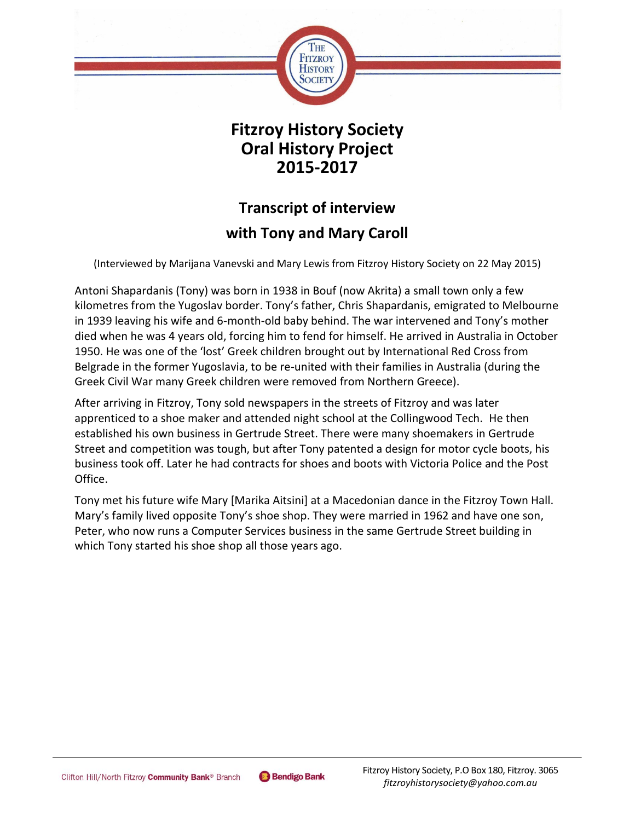

## **Fitzroy History Society Oral History Project 2015-2017**

# **Transcript of interview**

### **with Tony and Mary Caroll**

(Interviewed by Marijana Vanevski and Mary Lewis from Fitzroy History Society on 22 May 2015)

Antoni Shapardanis (Tony) was born in 1938 in Bouf (now Akrita) a small town only a few kilometres from the Yugoslav border. Tony's father, Chris Shapardanis, emigrated to Melbourne in 1939 leaving his wife and 6-month-old baby behind. The war intervened and Tony's mother died when he was 4 years old, forcing him to fend for himself. He arrived in Australia in October 1950. He was one of the 'lost' Greek children brought out by International Red Cross from Belgrade in the former Yugoslavia, to be re-united with their families in Australia (during the Greek Civil War many Greek children were removed from Northern Greece).

After arriving in Fitzroy, Tony sold newspapers in the streets of Fitzroy and was later apprenticed to a shoe maker and attended night school at the Collingwood Tech. He then established his own business in Gertrude Street. There were many shoemakers in Gertrude Street and competition was tough, but after Tony patented a design for motor cycle boots, his business took off. Later he had contracts for shoes and boots with Victoria Police and the Post Office.

Tony met his future wife Mary [Marika Aitsini] at a Macedonian dance in the Fitzroy Town Hall. Mary's family lived opposite Tony's shoe shop. They were married in 1962 and have one son, Peter, who now runs a Computer Services business in the same Gertrude Street building in which Tony started his shoe shop all those years ago.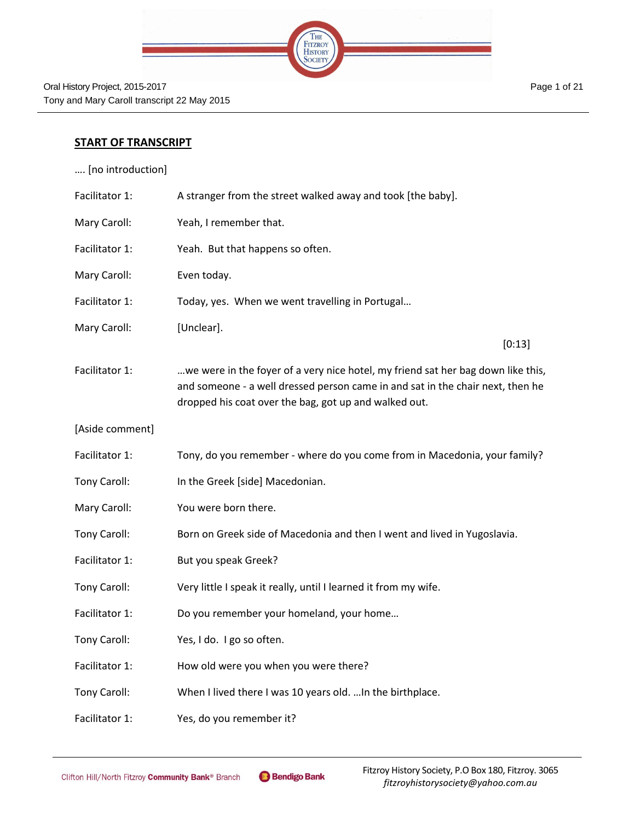

#### **START OF TRANSCRIPT**

…. [no introduction]

| Facilitator 1:  | A stranger from the street walked away and took [the baby].                                                                                                                                                                 |
|-----------------|-----------------------------------------------------------------------------------------------------------------------------------------------------------------------------------------------------------------------------|
| Mary Caroll:    | Yeah, I remember that.                                                                                                                                                                                                      |
| Facilitator 1:  | Yeah. But that happens so often.                                                                                                                                                                                            |
| Mary Caroll:    | Even today.                                                                                                                                                                                                                 |
| Facilitator 1:  | Today, yes. When we went travelling in Portugal                                                                                                                                                                             |
| Mary Caroll:    | [Unclear].                                                                                                                                                                                                                  |
|                 | [0:13]                                                                                                                                                                                                                      |
| Facilitator 1:  | we were in the foyer of a very nice hotel, my friend sat her bag down like this,<br>and someone - a well dressed person came in and sat in the chair next, then he<br>dropped his coat over the bag, got up and walked out. |
| [Aside comment] |                                                                                                                                                                                                                             |
| Facilitator 1:  | Tony, do you remember - where do you come from in Macedonia, your family?                                                                                                                                                   |
| Tony Caroll:    | In the Greek [side] Macedonian.                                                                                                                                                                                             |
| Mary Caroll:    | You were born there.                                                                                                                                                                                                        |
| Tony Caroll:    | Born on Greek side of Macedonia and then I went and lived in Yugoslavia.                                                                                                                                                    |
| Facilitator 1:  | But you speak Greek?                                                                                                                                                                                                        |
| Tony Caroll:    | Very little I speak it really, until I learned it from my wife.                                                                                                                                                             |
| Facilitator 1:  | Do you remember your homeland, your home                                                                                                                                                                                    |
| Tony Caroll:    | Yes, I do. I go so often.                                                                                                                                                                                                   |
| Facilitator 1:  | How old were you when you were there?                                                                                                                                                                                       |
| Tony Caroll:    | When I lived there I was 10 years old.  In the birthplace.                                                                                                                                                                  |
| Facilitator 1:  | Yes, do you remember it?                                                                                                                                                                                                    |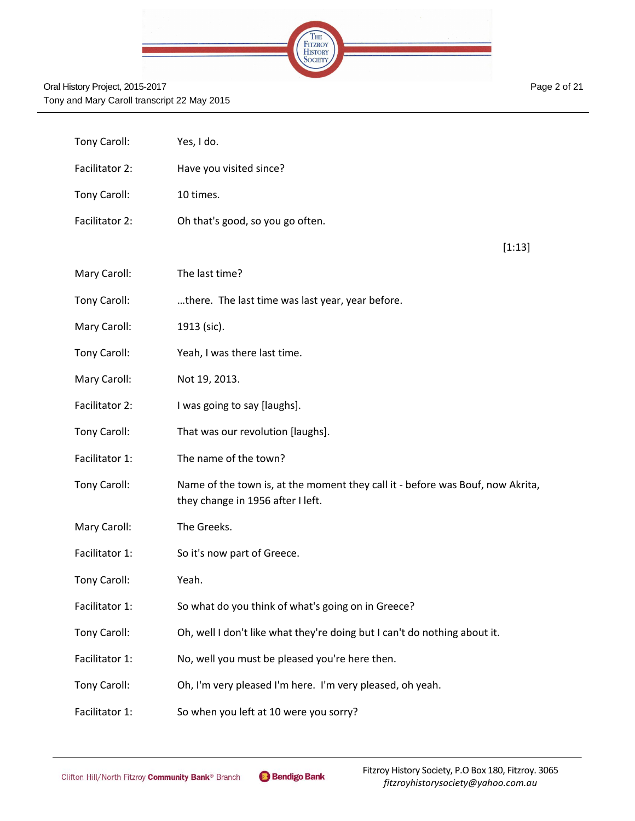|  | THE                |  |
|--|--------------------|--|
|  | FITZROY<br>HISTORY |  |
|  |                    |  |
|  |                    |  |

| Tony Caroll:   | Yes, I do.                                                                                                          |
|----------------|---------------------------------------------------------------------------------------------------------------------|
| Facilitator 2: | Have you visited since?                                                                                             |
| Tony Caroll:   | 10 times.                                                                                                           |
| Facilitator 2: | Oh that's good, so you go often.                                                                                    |
|                | [1:13]                                                                                                              |
| Mary Caroll:   | The last time?                                                                                                      |
| Tony Caroll:   | there. The last time was last year, year before.                                                                    |
| Mary Caroll:   | 1913 (sic).                                                                                                         |
| Tony Caroll:   | Yeah, I was there last time.                                                                                        |
| Mary Caroll:   | Not 19, 2013.                                                                                                       |
| Facilitator 2: | I was going to say [laughs].                                                                                        |
| Tony Caroll:   | That was our revolution [laughs].                                                                                   |
| Facilitator 1: | The name of the town?                                                                                               |
| Tony Caroll:   | Name of the town is, at the moment they call it - before was Bouf, now Akrita,<br>they change in 1956 after I left. |
| Mary Caroll:   | The Greeks.                                                                                                         |
| Facilitator 1: | So it's now part of Greece.                                                                                         |
| Tony Caroll:   | Yeah.                                                                                                               |
| Facilitator 1: | So what do you think of what's going on in Greece?                                                                  |
| Tony Caroll:   | Oh, well I don't like what they're doing but I can't do nothing about it.                                           |
| Facilitator 1: | No, well you must be pleased you're here then.                                                                      |
| Tony Caroll:   | Oh, I'm very pleased I'm here. I'm very pleased, oh yeah.                                                           |
| Facilitator 1: | So when you left at 10 were you sorry?                                                                              |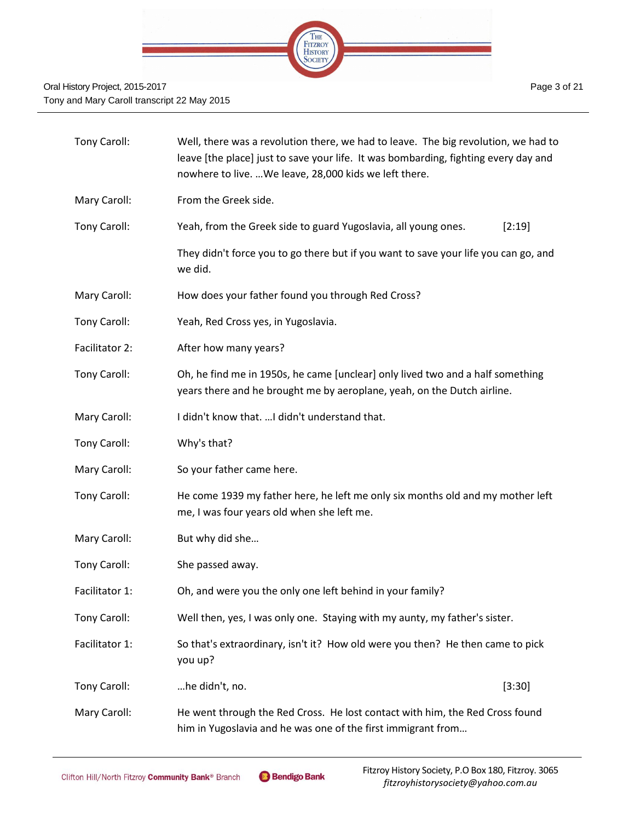

| Tony Caroll:   | Well, there was a revolution there, we had to leave. The big revolution, we had to<br>leave [the place] just to save your life. It was bombarding, fighting every day and<br>nowhere to live.  We leave, 28,000 kids we left there. |  |  |
|----------------|-------------------------------------------------------------------------------------------------------------------------------------------------------------------------------------------------------------------------------------|--|--|
| Mary Caroll:   | From the Greek side.                                                                                                                                                                                                                |  |  |
| Tony Caroll:   | Yeah, from the Greek side to guard Yugoslavia, all young ones.<br>[2:19]                                                                                                                                                            |  |  |
|                | They didn't force you to go there but if you want to save your life you can go, and<br>we did.                                                                                                                                      |  |  |
| Mary Caroll:   | How does your father found you through Red Cross?                                                                                                                                                                                   |  |  |
| Tony Caroll:   | Yeah, Red Cross yes, in Yugoslavia.                                                                                                                                                                                                 |  |  |
| Facilitator 2: | After how many years?                                                                                                                                                                                                               |  |  |
| Tony Caroll:   | Oh, he find me in 1950s, he came [unclear] only lived two and a half something<br>years there and he brought me by aeroplane, yeah, on the Dutch airline.                                                                           |  |  |
| Mary Caroll:   | I didn't know that.  I didn't understand that.                                                                                                                                                                                      |  |  |
| Tony Caroll:   | Why's that?                                                                                                                                                                                                                         |  |  |
| Mary Caroll:   | So your father came here.                                                                                                                                                                                                           |  |  |
| Tony Caroll:   | He come 1939 my father here, he left me only six months old and my mother left<br>me, I was four years old when she left me.                                                                                                        |  |  |
| Mary Caroll:   | But why did she                                                                                                                                                                                                                     |  |  |
| Tony Caroll:   | She passed away.                                                                                                                                                                                                                    |  |  |
| Facilitator 1: | Oh, and were you the only one left behind in your family?                                                                                                                                                                           |  |  |
| Tony Caroll:   | Well then, yes, I was only one. Staying with my aunty, my father's sister.                                                                                                                                                          |  |  |
| Facilitator 1: | So that's extraordinary, isn't it? How old were you then? He then came to pick<br>you up?                                                                                                                                           |  |  |
| Tony Caroll:   | he didn't, no.<br>[3:30]                                                                                                                                                                                                            |  |  |
| Mary Caroll:   | He went through the Red Cross. He lost contact with him, the Red Cross found<br>him in Yugoslavia and he was one of the first immigrant from                                                                                        |  |  |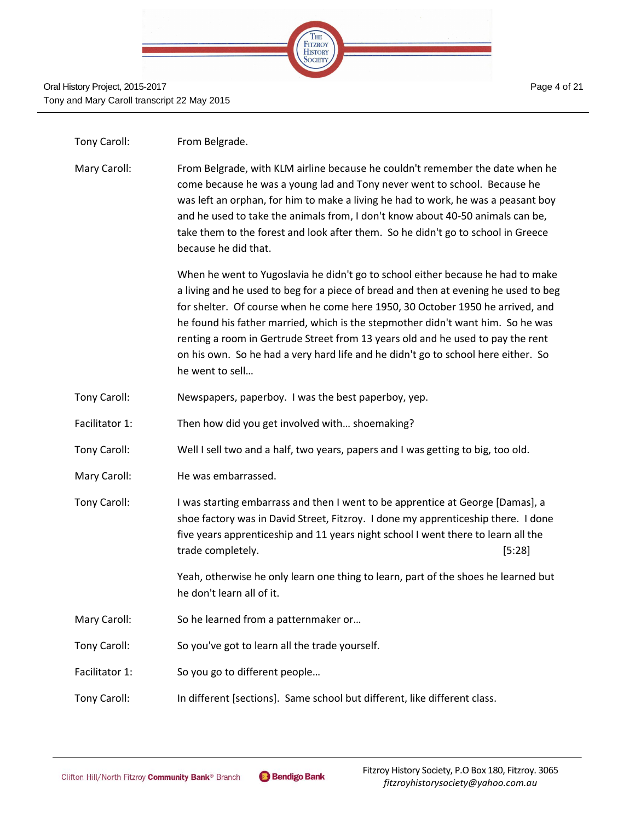

| From Belgrade. |
|----------------|
|                |

Mary Caroll: From Belgrade, with KLM airline because he couldn't remember the date when he come because he was a young lad and Tony never went to school. Because he was left an orphan, for him to make a living he had to work, he was a peasant boy and he used to take the animals from, I don't know about 40-50 animals can be, take them to the forest and look after them. So he didn't go to school in Greece because he did that.

> When he went to Yugoslavia he didn't go to school either because he had to make a living and he used to beg for a piece of bread and then at evening he used to beg for shelter. Of course when he come here 1950, 30 October 1950 he arrived, and he found his father married, which is the stepmother didn't want him. So he was renting a room in Gertrude Street from 13 years old and he used to pay the rent on his own. So he had a very hard life and he didn't go to school here either. So he went to sell…

- Tony Caroll: Newspapers, paperboy. I was the best paperboy, yep.
- Facilitator 1: Then how did you get involved with... shoemaking?
- Tony Caroll: Well I sell two and a half, two years, papers and I was getting to big, too old.
- Mary Caroll: He was embarrassed.
- Tony Caroll: I was starting embarrass and then I went to be apprentice at George [Damas], a shoe factory was in David Street, Fitzroy. I done my apprenticeship there. I done five years apprenticeship and 11 years night school I went there to learn all the trade completely. [5:28]

Yeah, otherwise he only learn one thing to learn, part of the shoes he learned but he don't learn all of it.

Mary Caroll: So he learned from a patternmaker or...

Tony Caroll: So you've got to learn all the trade yourself.

- Facilitator 1: So you go to different people...
- Tony Caroll: In different [sections]. Same school but different, like different class.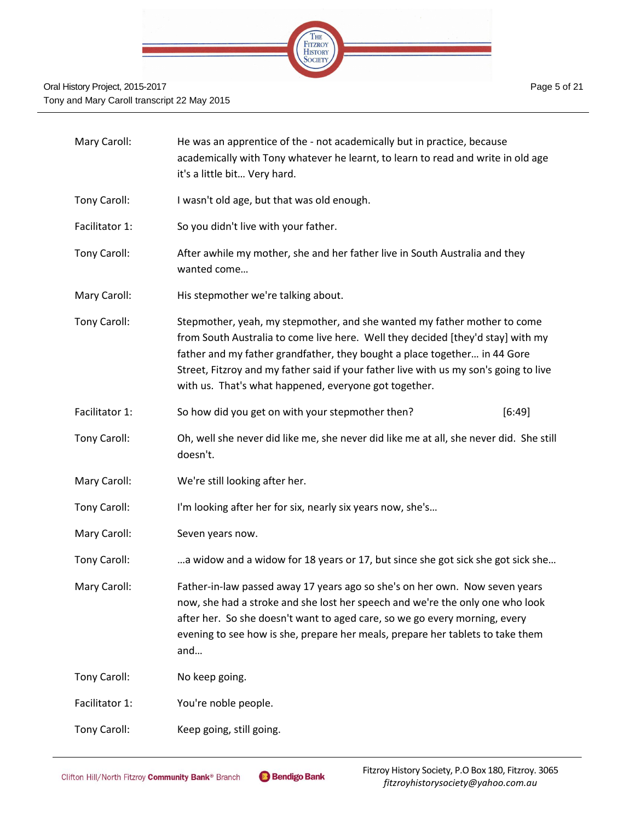

| Mary Caroll:   | He was an apprentice of the - not academically but in practice, because<br>academically with Tony whatever he learnt, to learn to read and write in old age<br>it's a little bit Very hard.                                                                                                                                                                                                |  |  |
|----------------|--------------------------------------------------------------------------------------------------------------------------------------------------------------------------------------------------------------------------------------------------------------------------------------------------------------------------------------------------------------------------------------------|--|--|
| Tony Caroll:   | I wasn't old age, but that was old enough.                                                                                                                                                                                                                                                                                                                                                 |  |  |
| Facilitator 1: | So you didn't live with your father.                                                                                                                                                                                                                                                                                                                                                       |  |  |
| Tony Caroll:   | After awhile my mother, she and her father live in South Australia and they<br>wanted come                                                                                                                                                                                                                                                                                                 |  |  |
| Mary Caroll:   | His stepmother we're talking about.                                                                                                                                                                                                                                                                                                                                                        |  |  |
| Tony Caroll:   | Stepmother, yeah, my stepmother, and she wanted my father mother to come<br>from South Australia to come live here. Well they decided [they'd stay] with my<br>father and my father grandfather, they bought a place together in 44 Gore<br>Street, Fitzroy and my father said if your father live with us my son's going to live<br>with us. That's what happened, everyone got together. |  |  |
| Facilitator 1: | So how did you get on with your stepmother then?<br>[6:49]                                                                                                                                                                                                                                                                                                                                 |  |  |
| Tony Caroll:   | Oh, well she never did like me, she never did like me at all, she never did. She still<br>doesn't.                                                                                                                                                                                                                                                                                         |  |  |
| Mary Caroll:   | We're still looking after her.                                                                                                                                                                                                                                                                                                                                                             |  |  |
| Tony Caroll:   | I'm looking after her for six, nearly six years now, she's                                                                                                                                                                                                                                                                                                                                 |  |  |
| Mary Caroll:   | Seven years now.                                                                                                                                                                                                                                                                                                                                                                           |  |  |
| Tony Caroll:   | a widow and a widow for 18 years or 17, but since she got sick she got sick she                                                                                                                                                                                                                                                                                                            |  |  |
| Mary Caroll:   | Father-in-law passed away 17 years ago so she's on her own. Now seven years<br>now, she had a stroke and she lost her speech and we're the only one who look<br>after her. So she doesn't want to aged care, so we go every morning, every<br>evening to see how is she, prepare her meals, prepare her tablets to take them<br>and                                                        |  |  |
| Tony Caroll:   | No keep going.                                                                                                                                                                                                                                                                                                                                                                             |  |  |
| Facilitator 1: | You're noble people.                                                                                                                                                                                                                                                                                                                                                                       |  |  |
| Tony Caroll:   | Keep going, still going.                                                                                                                                                                                                                                                                                                                                                                   |  |  |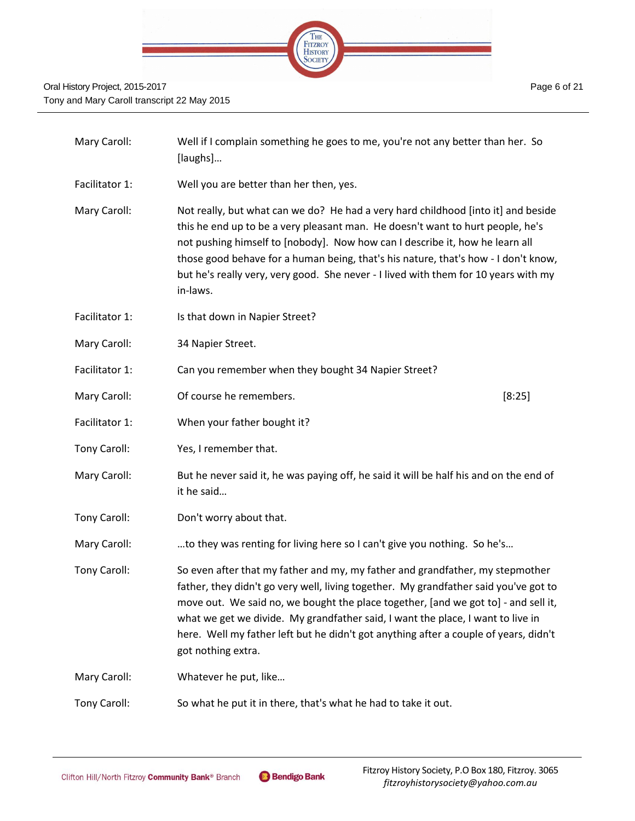

| Mary Caroll:   | Well if I complain something he goes to me, you're not any better than her. So<br>[laughs]                                                                                                                                                                                                                                                                                                                                                                   |        |  |
|----------------|--------------------------------------------------------------------------------------------------------------------------------------------------------------------------------------------------------------------------------------------------------------------------------------------------------------------------------------------------------------------------------------------------------------------------------------------------------------|--------|--|
| Facilitator 1: | Well you are better than her then, yes.                                                                                                                                                                                                                                                                                                                                                                                                                      |        |  |
| Mary Caroll:   | Not really, but what can we do? He had a very hard childhood [into it] and beside<br>this he end up to be a very pleasant man. He doesn't want to hurt people, he's<br>not pushing himself to [nobody]. Now how can I describe it, how he learn all<br>those good behave for a human being, that's his nature, that's how - I don't know,<br>but he's really very, very good. She never - I lived with them for 10 years with my<br>in-laws.                 |        |  |
| Facilitator 1: | Is that down in Napier Street?                                                                                                                                                                                                                                                                                                                                                                                                                               |        |  |
| Mary Caroll:   | 34 Napier Street.                                                                                                                                                                                                                                                                                                                                                                                                                                            |        |  |
| Facilitator 1: | Can you remember when they bought 34 Napier Street?                                                                                                                                                                                                                                                                                                                                                                                                          |        |  |
| Mary Caroll:   | Of course he remembers.                                                                                                                                                                                                                                                                                                                                                                                                                                      | [8:25] |  |
| Facilitator 1: | When your father bought it?                                                                                                                                                                                                                                                                                                                                                                                                                                  |        |  |
| Tony Caroll:   | Yes, I remember that.                                                                                                                                                                                                                                                                                                                                                                                                                                        |        |  |
| Mary Caroll:   | But he never said it, he was paying off, he said it will be half his and on the end of<br>it he said                                                                                                                                                                                                                                                                                                                                                         |        |  |
| Tony Caroll:   | Don't worry about that.                                                                                                                                                                                                                                                                                                                                                                                                                                      |        |  |
| Mary Caroll:   | to they was renting for living here so I can't give you nothing. So he's                                                                                                                                                                                                                                                                                                                                                                                     |        |  |
| Tony Caroll:   | So even after that my father and my, my father and grandfather, my stepmother<br>father, they didn't go very well, living together. My grandfather said you've got to<br>move out. We said no, we bought the place together, [and we got to] - and sell it,<br>what we get we divide. My grandfather said, I want the place, I want to live in<br>here. Well my father left but he didn't got anything after a couple of years, didn't<br>got nothing extra. |        |  |
| Mary Caroll:   | Whatever he put, like                                                                                                                                                                                                                                                                                                                                                                                                                                        |        |  |
| Tony Caroll:   | So what he put it in there, that's what he had to take it out.                                                                                                                                                                                                                                                                                                                                                                                               |        |  |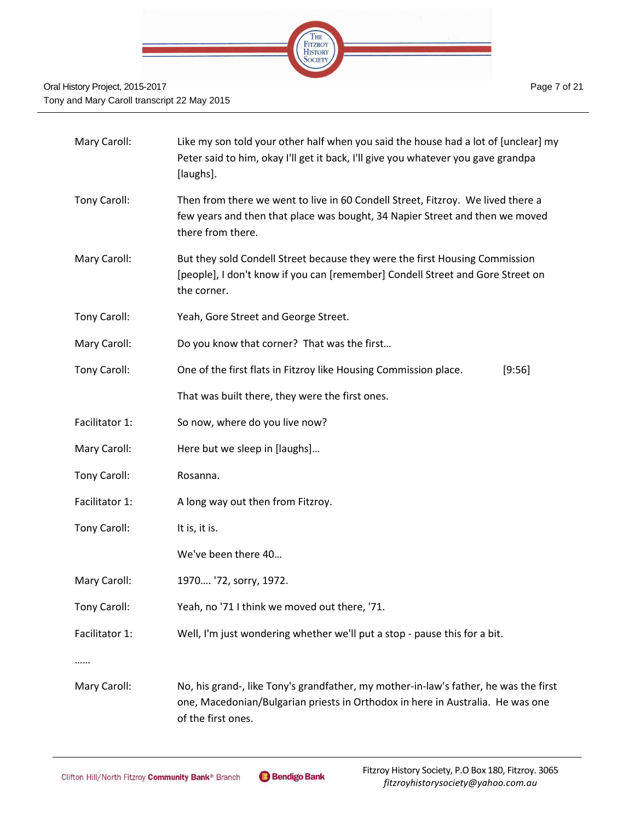

| Mary Caroll:   | Like my son told your other half when you said the house had a lot of [unclear] my<br>Peter said to him, okay I'll get it back, I'll give you whatever you gave grandpa<br>[laughs].         |  |  |
|----------------|----------------------------------------------------------------------------------------------------------------------------------------------------------------------------------------------|--|--|
| Tony Caroll:   | Then from there we went to live in 60 Condell Street, Fitzroy. We lived there a<br>few years and then that place was bought, 34 Napier Street and then we moved<br>there from there.         |  |  |
| Mary Caroll:   | But they sold Condell Street because they were the first Housing Commission<br>[people], I don't know if you can [remember] Condell Street and Gore Street on<br>the corner.                 |  |  |
| Tony Caroll:   | Yeah, Gore Street and George Street.                                                                                                                                                         |  |  |
| Mary Caroll:   | Do you know that corner? That was the first                                                                                                                                                  |  |  |
| Tony Caroll:   | One of the first flats in Fitzroy like Housing Commission place.<br>[9:56]                                                                                                                   |  |  |
|                | That was built there, they were the first ones.                                                                                                                                              |  |  |
| Facilitator 1: | So now, where do you live now?                                                                                                                                                               |  |  |
| Mary Caroll:   | Here but we sleep in [laughs]                                                                                                                                                                |  |  |
| Tony Caroll:   | Rosanna.                                                                                                                                                                                     |  |  |
| Facilitator 1: | A long way out then from Fitzroy.                                                                                                                                                            |  |  |
| Tony Caroll:   | It is, it is.                                                                                                                                                                                |  |  |
|                | We've been there 40                                                                                                                                                                          |  |  |
| Mary Caroll:   | 1970 '72, sorry, 1972.                                                                                                                                                                       |  |  |
| Tony Caroll:   | Yeah, no '71 I think we moved out there, '71.                                                                                                                                                |  |  |
| Facilitator 1: | Well, I'm just wondering whether we'll put a stop - pause this for a bit.                                                                                                                    |  |  |
|                |                                                                                                                                                                                              |  |  |
| Mary Caroll:   | No, his grand-, like Tony's grandfather, my mother-in-law's father, he was the first<br>one, Macedonian/Bulgarian priests in Orthodox in here in Australia. He was one<br>of the first ones. |  |  |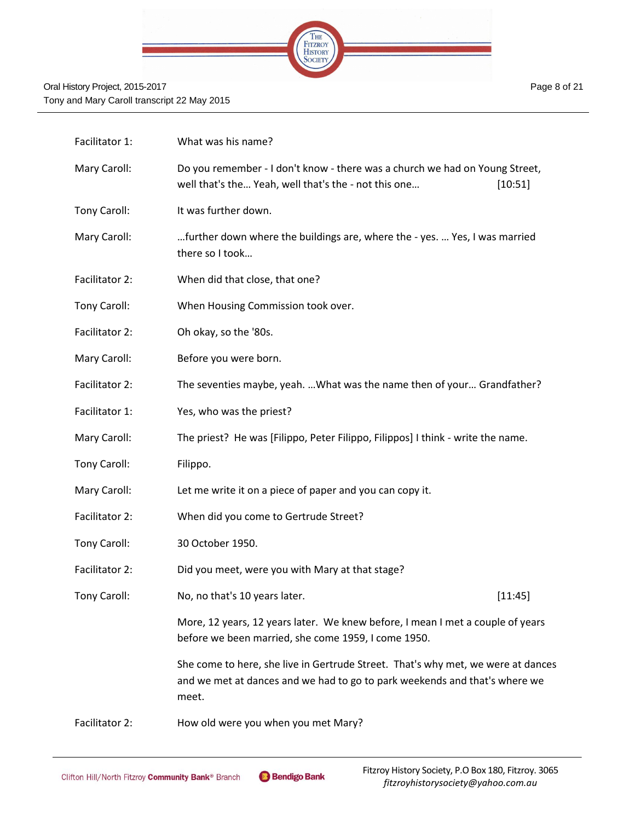

| Facilitator 1: | What was his name?                                                                                                                                                      |         |
|----------------|-------------------------------------------------------------------------------------------------------------------------------------------------------------------------|---------|
| Mary Caroll:   | Do you remember - I don't know - there was a church we had on Young Street,<br>well that's the Yeah, well that's the - not this one                                     | [10:51] |
| Tony Caroll:   | It was further down.                                                                                                                                                    |         |
| Mary Caroll:   | further down where the buildings are, where the - yes.  Yes, I was married<br>there so I took                                                                           |         |
| Facilitator 2: | When did that close, that one?                                                                                                                                          |         |
| Tony Caroll:   | When Housing Commission took over.                                                                                                                                      |         |
| Facilitator 2: | Oh okay, so the '80s.                                                                                                                                                   |         |
| Mary Caroll:   | Before you were born.                                                                                                                                                   |         |
| Facilitator 2: | The seventies maybe, yeah.  What was the name then of your Grandfather?                                                                                                 |         |
| Facilitator 1: | Yes, who was the priest?                                                                                                                                                |         |
| Mary Caroll:   | The priest? He was [Filippo, Peter Filippo, Filippos] I think - write the name.                                                                                         |         |
| Tony Caroll:   | Filippo.                                                                                                                                                                |         |
| Mary Caroll:   | Let me write it on a piece of paper and you can copy it.                                                                                                                |         |
| Facilitator 2: | When did you come to Gertrude Street?                                                                                                                                   |         |
| Tony Caroll:   | 30 October 1950.                                                                                                                                                        |         |
| Facilitator 2: | Did you meet, were you with Mary at that stage?                                                                                                                         |         |
| Tony Caroll:   | No, no that's 10 years later.                                                                                                                                           | [11:45] |
|                | More, 12 years, 12 years later. We knew before, I mean I met a couple of years<br>before we been married, she come 1959, I come 1950.                                   |         |
|                | She come to here, she live in Gertrude Street. That's why met, we were at dances<br>and we met at dances and we had to go to park weekends and that's where we<br>meet. |         |
| Facilitator 2: | How old were you when you met Mary?                                                                                                                                     |         |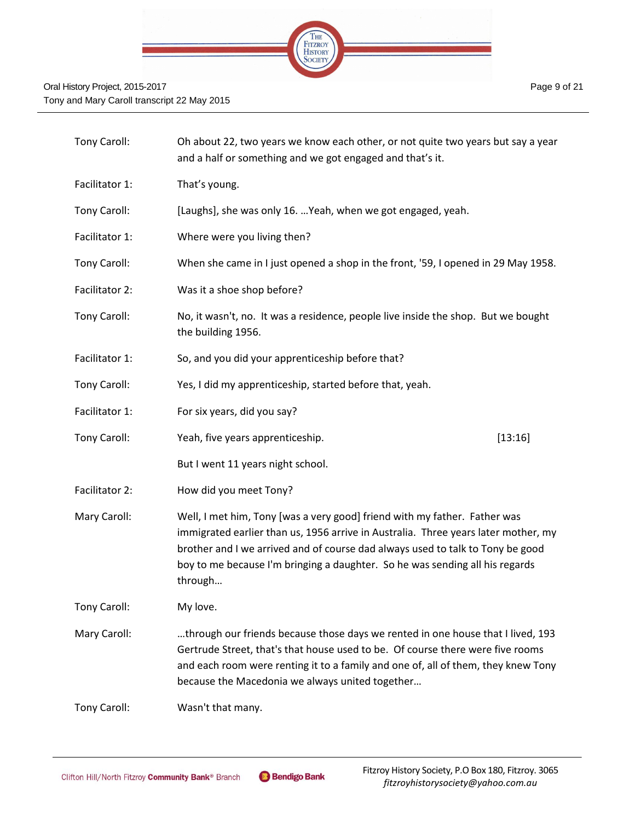

| Tony Caroll:   | Oh about 22, two years we know each other, or not quite two years but say a year<br>and a half or something and we got engaged and that's it.                                                                                                                                                                                                |         |
|----------------|----------------------------------------------------------------------------------------------------------------------------------------------------------------------------------------------------------------------------------------------------------------------------------------------------------------------------------------------|---------|
| Facilitator 1: | That's young.                                                                                                                                                                                                                                                                                                                                |         |
| Tony Caroll:   | [Laughs], she was only 16.  Yeah, when we got engaged, yeah.                                                                                                                                                                                                                                                                                 |         |
| Facilitator 1: | Where were you living then?                                                                                                                                                                                                                                                                                                                  |         |
| Tony Caroll:   | When she came in I just opened a shop in the front, '59, I opened in 29 May 1958.                                                                                                                                                                                                                                                            |         |
| Facilitator 2: | Was it a shoe shop before?                                                                                                                                                                                                                                                                                                                   |         |
| Tony Caroll:   | No, it wasn't, no. It was a residence, people live inside the shop. But we bought<br>the building 1956.                                                                                                                                                                                                                                      |         |
| Facilitator 1: | So, and you did your apprenticeship before that?                                                                                                                                                                                                                                                                                             |         |
| Tony Caroll:   | Yes, I did my apprenticeship, started before that, yeah.                                                                                                                                                                                                                                                                                     |         |
| Facilitator 1: | For six years, did you say?                                                                                                                                                                                                                                                                                                                  |         |
| Tony Caroll:   | Yeah, five years apprenticeship.                                                                                                                                                                                                                                                                                                             | [13:16] |
|                | But I went 11 years night school.                                                                                                                                                                                                                                                                                                            |         |
| Facilitator 2: | How did you meet Tony?                                                                                                                                                                                                                                                                                                                       |         |
| Mary Caroll:   | Well, I met him, Tony [was a very good] friend with my father. Father was<br>immigrated earlier than us, 1956 arrive in Australia. Three years later mother, my<br>brother and I we arrived and of course dad always used to talk to Tony be good<br>boy to me because I'm bringing a daughter. So he was sending all his regards<br>through |         |
| Tony Caroll:   | My love.                                                                                                                                                                                                                                                                                                                                     |         |
| Mary Caroll:   | through our friends because those days we rented in one house that I lived, 193<br>Gertrude Street, that's that house used to be. Of course there were five rooms<br>and each room were renting it to a family and one of, all of them, they knew Tony<br>because the Macedonia we always united together                                    |         |
| Tony Caroll:   | Wasn't that many.                                                                                                                                                                                                                                                                                                                            |         |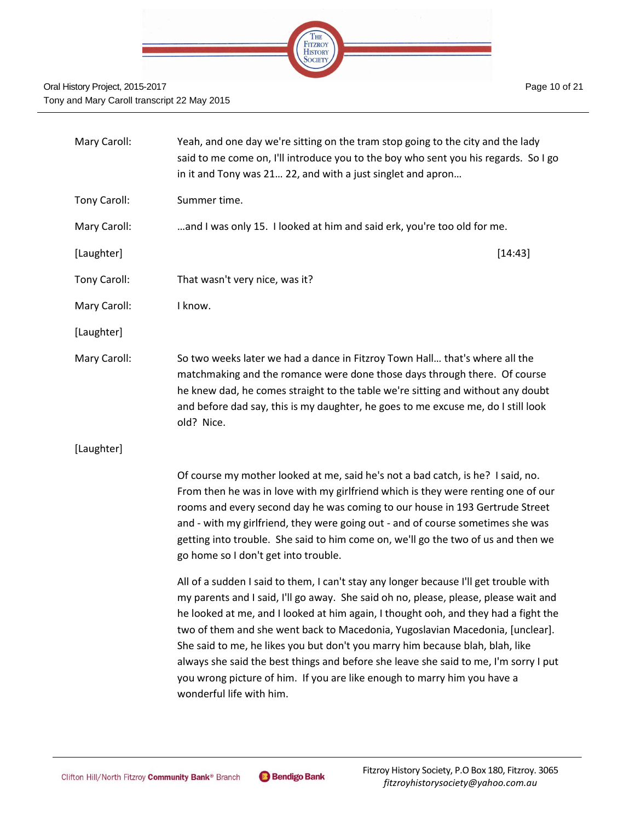

| Mary Caroll: | Yeah, and one day we're sitting on the tram stop going to the city and the lady<br>said to me come on, I'll introduce you to the boy who sent you his regards. So I go<br>in it and Tony was 21 22, and with a just singlet and apron                                                                                                                                                                                                                                                                                                                                                                                                  |  |
|--------------|----------------------------------------------------------------------------------------------------------------------------------------------------------------------------------------------------------------------------------------------------------------------------------------------------------------------------------------------------------------------------------------------------------------------------------------------------------------------------------------------------------------------------------------------------------------------------------------------------------------------------------------|--|
| Tony Caroll: | Summer time.                                                                                                                                                                                                                                                                                                                                                                                                                                                                                                                                                                                                                           |  |
| Mary Caroll: | and I was only 15. I looked at him and said erk, you're too old for me.                                                                                                                                                                                                                                                                                                                                                                                                                                                                                                                                                                |  |
| [Laughter]   | [14:43]                                                                                                                                                                                                                                                                                                                                                                                                                                                                                                                                                                                                                                |  |
| Tony Caroll: | That wasn't very nice, was it?                                                                                                                                                                                                                                                                                                                                                                                                                                                                                                                                                                                                         |  |
| Mary Caroll: | I know.                                                                                                                                                                                                                                                                                                                                                                                                                                                                                                                                                                                                                                |  |
| [Laughter]   |                                                                                                                                                                                                                                                                                                                                                                                                                                                                                                                                                                                                                                        |  |
| Mary Caroll: | So two weeks later we had a dance in Fitzroy Town Hall that's where all the<br>matchmaking and the romance were done those days through there. Of course<br>he knew dad, he comes straight to the table we're sitting and without any doubt<br>and before dad say, this is my daughter, he goes to me excuse me, do I still look<br>old? Nice.                                                                                                                                                                                                                                                                                         |  |
| [Laughter]   |                                                                                                                                                                                                                                                                                                                                                                                                                                                                                                                                                                                                                                        |  |
|              | Of course my mother looked at me, said he's not a bad catch, is he? I said, no.<br>From then he was in love with my girlfriend which is they were renting one of our<br>rooms and every second day he was coming to our house in 193 Gertrude Street<br>and - with my girlfriend, they were going out - and of course sometimes she was<br>getting into trouble. She said to him come on, we'll go the two of us and then we<br>go home so I don't get into trouble.                                                                                                                                                                   |  |
|              | All of a sudden I said to them, I can't stay any longer because I'll get trouble with<br>my parents and I said, I'll go away. She said oh no, please, please, please wait and<br>he looked at me, and I looked at him again, I thought ooh, and they had a fight the<br>two of them and she went back to Macedonia, Yugoslavian Macedonia, [unclear].<br>She said to me, he likes you but don't you marry him because blah, blah, like<br>always she said the best things and before she leave she said to me, I'm sorry I put<br>you wrong picture of him. If you are like enough to marry him you have a<br>wonderful life with him. |  |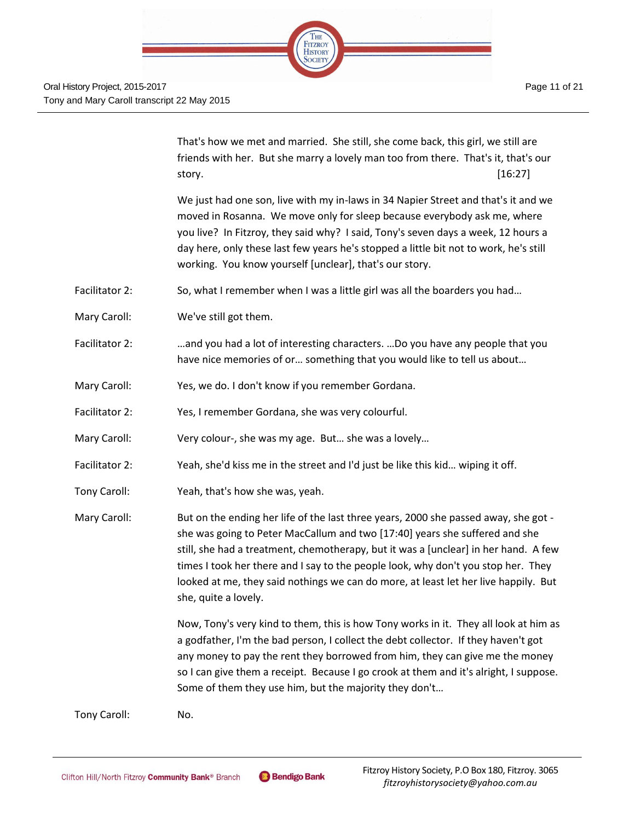

That's how we met and married. She still, she come back, this girl, we still are friends with her. But she marry a lovely man too from there. That's it, that's our story.  $[16:27]$ 

We just had one son, live with my in-laws in 34 Napier Street and that's it and we moved in Rosanna. We move only for sleep because everybody ask me, where you live? In Fitzroy, they said why? I said, Tony's seven days a week, 12 hours a day here, only these last few years he's stopped a little bit not to work, he's still working. You know yourself [unclear], that's our story.

- Facilitator 2: So, what I remember when I was a little girl was all the boarders you had...
- Mary Caroll: We've still got them.
- Facilitator 2: …and you had a lot of interesting characters. …Do you have any people that you have nice memories of or… something that you would like to tell us about…
- Mary Caroll: Yes, we do. I don't know if you remember Gordana.
- Facilitator 2: Yes, I remember Gordana, she was very colourful.
- Mary Caroll: Very colour-, she was my age. But… she was a lovely…
- Facilitator 2: Yeah, she'd kiss me in the street and I'd just be like this kid… wiping it off.
- Tony Caroll: Yeah, that's how she was, yeah.

Mary Caroll: But on the ending her life of the last three years, 2000 she passed away, she got she was going to Peter MacCallum and two [17:40] years she suffered and she still, she had a treatment, chemotherapy, but it was a [unclear] in her hand. A few times I took her there and I say to the people look, why don't you stop her. They looked at me, they said nothings we can do more, at least let her live happily. But she, quite a lovely.

> Now, Tony's very kind to them, this is how Tony works in it. They all look at him as a godfather, I'm the bad person, I collect the debt collector. If they haven't got any money to pay the rent they borrowed from him, they can give me the money so I can give them a receipt. Because I go crook at them and it's alright, I suppose. Some of them they use him, but the majority they don't…

Tony Caroll: No.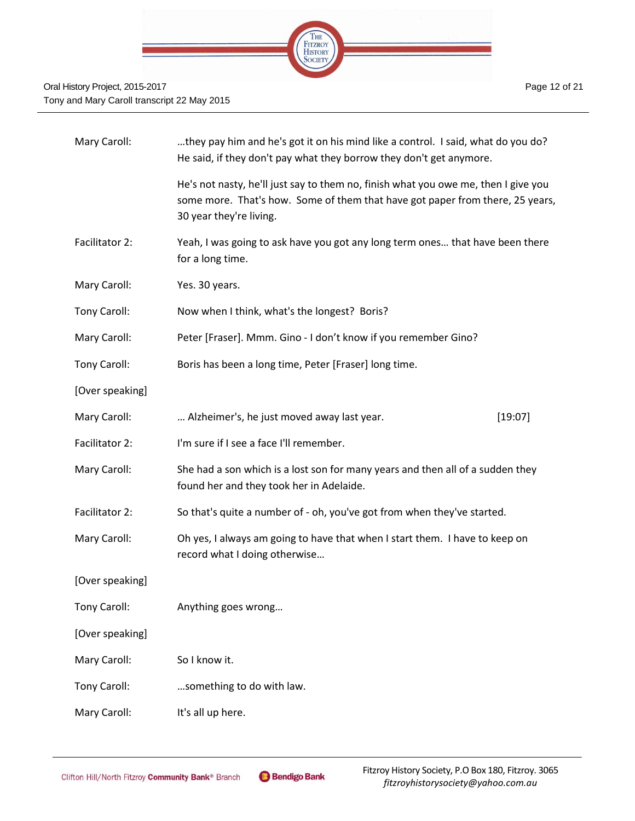

| Mary Caroll:    | they pay him and he's got it on his mind like a control. I said, what do you do?<br>He said, if they don't pay what they borrow they don't get anymore.                                        |         |  |
|-----------------|------------------------------------------------------------------------------------------------------------------------------------------------------------------------------------------------|---------|--|
|                 | He's not nasty, he'll just say to them no, finish what you owe me, then I give you<br>some more. That's how. Some of them that have got paper from there, 25 years,<br>30 year they're living. |         |  |
| Facilitator 2:  | Yeah, I was going to ask have you got any long term ones that have been there<br>for a long time.                                                                                              |         |  |
| Mary Caroll:    | Yes. 30 years.                                                                                                                                                                                 |         |  |
| Tony Caroll:    | Now when I think, what's the longest? Boris?                                                                                                                                                   |         |  |
| Mary Caroll:    | Peter [Fraser]. Mmm. Gino - I don't know if you remember Gino?                                                                                                                                 |         |  |
| Tony Caroll:    | Boris has been a long time, Peter [Fraser] long time.                                                                                                                                          |         |  |
| [Over speaking] |                                                                                                                                                                                                |         |  |
| Mary Caroll:    | Alzheimer's, he just moved away last year.                                                                                                                                                     | [19:07] |  |
| Facilitator 2:  | I'm sure if I see a face I'll remember.                                                                                                                                                        |         |  |
| Mary Caroll:    | She had a son which is a lost son for many years and then all of a sudden they<br>found her and they took her in Adelaide.                                                                     |         |  |
| Facilitator 2:  | So that's quite a number of - oh, you've got from when they've started.                                                                                                                        |         |  |
| Mary Caroll:    | Oh yes, I always am going to have that when I start them. I have to keep on<br>record what I doing otherwise                                                                                   |         |  |
| [Over speaking] |                                                                                                                                                                                                |         |  |
| Tony Caroll:    | Anything goes wrong                                                                                                                                                                            |         |  |
| [Over speaking] |                                                                                                                                                                                                |         |  |
| Mary Caroll:    | So I know it.                                                                                                                                                                                  |         |  |
| Tony Caroll:    | something to do with law.                                                                                                                                                                      |         |  |
| Mary Caroll:    | It's all up here.                                                                                                                                                                              |         |  |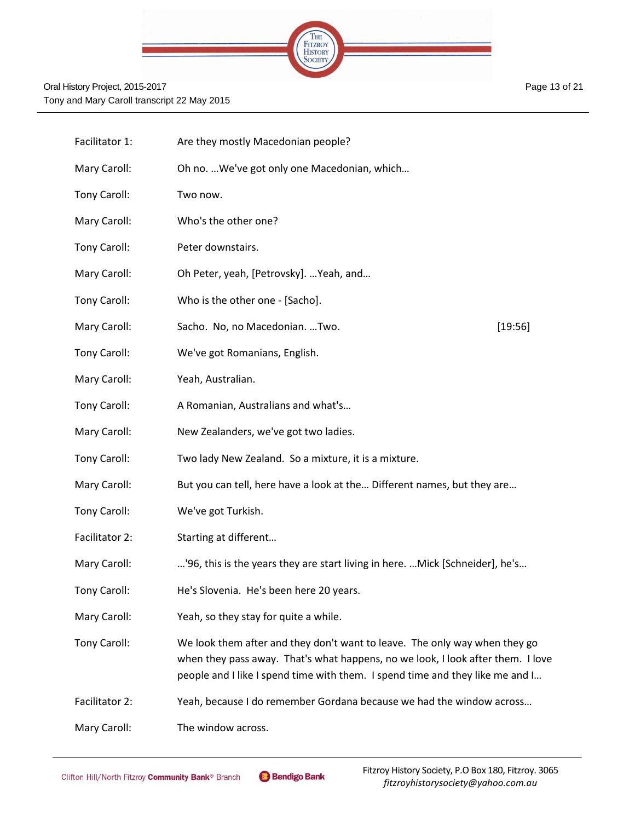

| Facilitator 1: | Are they mostly Macedonian people?                                                                                                                                                                                                             |         |
|----------------|------------------------------------------------------------------------------------------------------------------------------------------------------------------------------------------------------------------------------------------------|---------|
| Mary Caroll:   | Oh no.  We've got only one Macedonian, which                                                                                                                                                                                                   |         |
| Tony Caroll:   | Two now.                                                                                                                                                                                                                                       |         |
| Mary Caroll:   | Who's the other one?                                                                                                                                                                                                                           |         |
| Tony Caroll:   | Peter downstairs.                                                                                                                                                                                                                              |         |
| Mary Caroll:   | Oh Peter, yeah, [Petrovsky].  Yeah, and                                                                                                                                                                                                        |         |
| Tony Caroll:   | Who is the other one - [Sacho].                                                                                                                                                                                                                |         |
| Mary Caroll:   | Sacho. No, no Macedonian. Two.                                                                                                                                                                                                                 | [19:56] |
| Tony Caroll:   | We've got Romanians, English.                                                                                                                                                                                                                  |         |
| Mary Caroll:   | Yeah, Australian.                                                                                                                                                                                                                              |         |
| Tony Caroll:   | A Romanian, Australians and what's                                                                                                                                                                                                             |         |
| Mary Caroll:   | New Zealanders, we've got two ladies.                                                                                                                                                                                                          |         |
| Tony Caroll:   | Two lady New Zealand. So a mixture, it is a mixture.                                                                                                                                                                                           |         |
| Mary Caroll:   | But you can tell, here have a look at the Different names, but they are                                                                                                                                                                        |         |
| Tony Caroll:   | We've got Turkish.                                                                                                                                                                                                                             |         |
| Facilitator 2: | Starting at different                                                                                                                                                                                                                          |         |
| Mary Caroll:   | '96, this is the years they are start living in here. Mick [Schneider], he's                                                                                                                                                                   |         |
| Tony Caroll:   | He's Slovenia. He's been here 20 years.                                                                                                                                                                                                        |         |
| Mary Caroll:   | Yeah, so they stay for quite a while.                                                                                                                                                                                                          |         |
| Tony Caroll:   | We look them after and they don't want to leave. The only way when they go<br>when they pass away. That's what happens, no we look, I look after them. I love<br>people and I like I spend time with them. I spend time and they like me and I |         |
| Facilitator 2: | Yeah, because I do remember Gordana because we had the window across                                                                                                                                                                           |         |
| Mary Caroll:   | The window across.                                                                                                                                                                                                                             |         |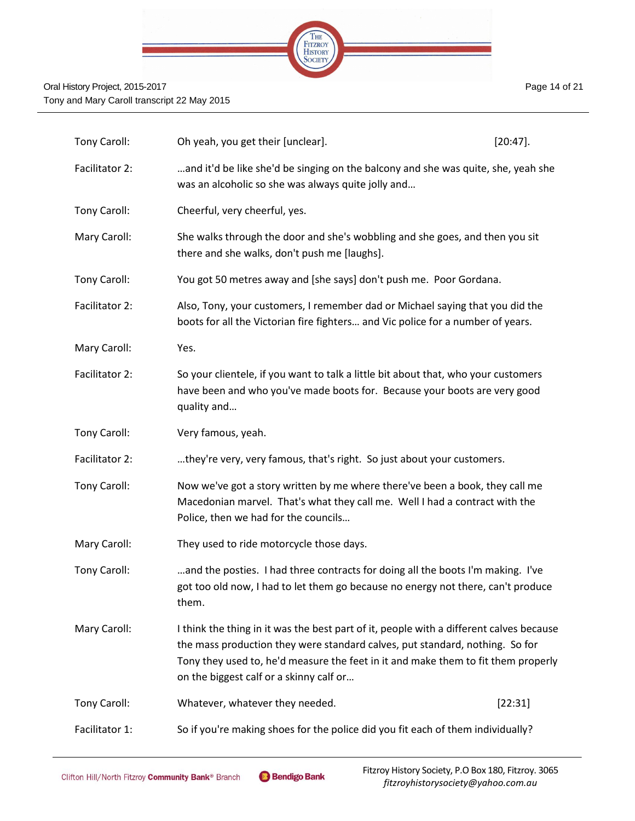

| Tony Caroll:   | Oh yeah, you get their [unclear].                                                                                                                                                                                                                                                                       | $[20:47]$ . |
|----------------|---------------------------------------------------------------------------------------------------------------------------------------------------------------------------------------------------------------------------------------------------------------------------------------------------------|-------------|
| Facilitator 2: | and it'd be like she'd be singing on the balcony and she was quite, she, yeah she<br>was an alcoholic so she was always quite jolly and                                                                                                                                                                 |             |
| Tony Caroll:   | Cheerful, very cheerful, yes.                                                                                                                                                                                                                                                                           |             |
| Mary Caroll:   | She walks through the door and she's wobbling and she goes, and then you sit<br>there and she walks, don't push me [laughs].                                                                                                                                                                            |             |
| Tony Caroll:   | You got 50 metres away and [she says] don't push me. Poor Gordana.                                                                                                                                                                                                                                      |             |
| Facilitator 2: | Also, Tony, your customers, I remember dad or Michael saying that you did the<br>boots for all the Victorian fire fighters and Vic police for a number of years.                                                                                                                                        |             |
| Mary Caroll:   | Yes.                                                                                                                                                                                                                                                                                                    |             |
| Facilitator 2: | So your clientele, if you want to talk a little bit about that, who your customers<br>have been and who you've made boots for. Because your boots are very good<br>quality and                                                                                                                          |             |
| Tony Caroll:   | Very famous, yeah.                                                                                                                                                                                                                                                                                      |             |
| Facilitator 2: | they're very, very famous, that's right. So just about your customers.                                                                                                                                                                                                                                  |             |
| Tony Caroll:   | Now we've got a story written by me where there've been a book, they call me<br>Macedonian marvel. That's what they call me. Well I had a contract with the<br>Police, then we had for the councils                                                                                                     |             |
| Mary Caroll:   | They used to ride motorcycle those days.                                                                                                                                                                                                                                                                |             |
| Tony Caroll:   | and the posties. I had three contracts for doing all the boots I'm making. I've<br>got too old now, I had to let them go because no energy not there, can't produce<br>them.                                                                                                                            |             |
| Mary Caroll:   | I think the thing in it was the best part of it, people with a different calves because<br>the mass production they were standard calves, put standard, nothing. So for<br>Tony they used to, he'd measure the feet in it and make them to fit them properly<br>on the biggest calf or a skinny calf or |             |
| Tony Caroll:   | Whatever, whatever they needed.                                                                                                                                                                                                                                                                         | [22:31]     |
| Facilitator 1: | So if you're making shoes for the police did you fit each of them individually?                                                                                                                                                                                                                         |             |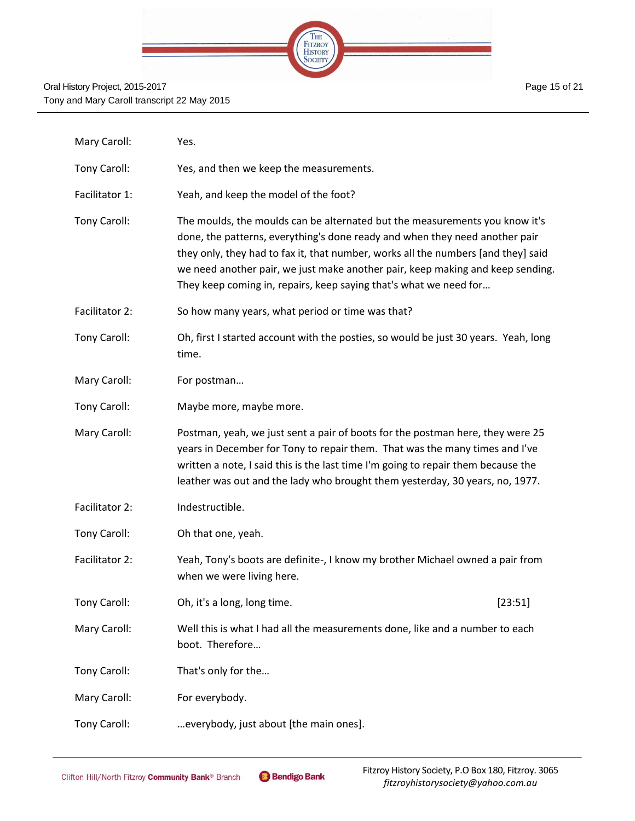

| Mary Caroll:   | Yes.                                                                                                                                                                                                                                                                                                                                                                                                   |         |
|----------------|--------------------------------------------------------------------------------------------------------------------------------------------------------------------------------------------------------------------------------------------------------------------------------------------------------------------------------------------------------------------------------------------------------|---------|
| Tony Caroll:   | Yes, and then we keep the measurements.                                                                                                                                                                                                                                                                                                                                                                |         |
| Facilitator 1: | Yeah, and keep the model of the foot?                                                                                                                                                                                                                                                                                                                                                                  |         |
| Tony Caroll:   | The moulds, the moulds can be alternated but the measurements you know it's<br>done, the patterns, everything's done ready and when they need another pair<br>they only, they had to fax it, that number, works all the numbers [and they] said<br>we need another pair, we just make another pair, keep making and keep sending.<br>They keep coming in, repairs, keep saying that's what we need for |         |
| Facilitator 2: | So how many years, what period or time was that?                                                                                                                                                                                                                                                                                                                                                       |         |
| Tony Caroll:   | Oh, first I started account with the posties, so would be just 30 years. Yeah, long<br>time.                                                                                                                                                                                                                                                                                                           |         |
| Mary Caroll:   | For postman                                                                                                                                                                                                                                                                                                                                                                                            |         |
| Tony Caroll:   | Maybe more, maybe more.                                                                                                                                                                                                                                                                                                                                                                                |         |
| Mary Caroll:   | Postman, yeah, we just sent a pair of boots for the postman here, they were 25<br>years in December for Tony to repair them. That was the many times and I've<br>written a note, I said this is the last time I'm going to repair them because the<br>leather was out and the lady who brought them yesterday, 30 years, no, 1977.                                                                     |         |
| Facilitator 2: | Indestructible.                                                                                                                                                                                                                                                                                                                                                                                        |         |
| Tony Caroll:   | Oh that one, yeah.                                                                                                                                                                                                                                                                                                                                                                                     |         |
| Facilitator 2: | Yeah, Tony's boots are definite-, I know my brother Michael owned a pair from<br>when we were living here.                                                                                                                                                                                                                                                                                             |         |
| Tony Caroll:   | Oh, it's a long, long time.                                                                                                                                                                                                                                                                                                                                                                            | [23:51] |
| Mary Caroll:   | Well this is what I had all the measurements done, like and a number to each<br>boot. Therefore                                                                                                                                                                                                                                                                                                        |         |
| Tony Caroll:   | That's only for the                                                                                                                                                                                                                                                                                                                                                                                    |         |
| Mary Caroll:   | For everybody.                                                                                                                                                                                                                                                                                                                                                                                         |         |
| Tony Caroll:   | everybody, just about [the main ones].                                                                                                                                                                                                                                                                                                                                                                 |         |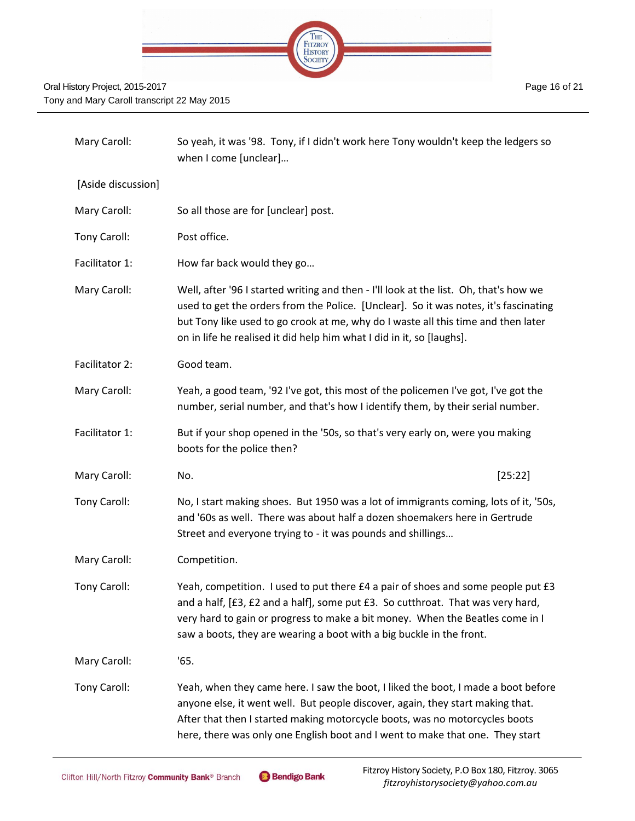

| Mary Caroll:       | So yeah, it was '98. Tony, if I didn't work here Tony wouldn't keep the ledgers so<br>when I come [unclear]                                                                                                                                                                                                                                 |
|--------------------|---------------------------------------------------------------------------------------------------------------------------------------------------------------------------------------------------------------------------------------------------------------------------------------------------------------------------------------------|
| [Aside discussion] |                                                                                                                                                                                                                                                                                                                                             |
| Mary Caroll:       | So all those are for [unclear] post.                                                                                                                                                                                                                                                                                                        |
| Tony Caroll:       | Post office.                                                                                                                                                                                                                                                                                                                                |
| Facilitator 1:     | How far back would they go                                                                                                                                                                                                                                                                                                                  |
| Mary Caroll:       | Well, after '96 I started writing and then - I'll look at the list. Oh, that's how we<br>used to get the orders from the Police. [Unclear]. So it was notes, it's fascinating<br>but Tony like used to go crook at me, why do I waste all this time and then later<br>on in life he realised it did help him what I did in it, so [laughs]. |
| Facilitator 2:     | Good team.                                                                                                                                                                                                                                                                                                                                  |
| Mary Caroll:       | Yeah, a good team, '92 I've got, this most of the policemen I've got, I've got the<br>number, serial number, and that's how I identify them, by their serial number.                                                                                                                                                                        |
| Facilitator 1:     | But if your shop opened in the '50s, so that's very early on, were you making<br>boots for the police then?                                                                                                                                                                                                                                 |
| Mary Caroll:       | [25:22]<br>No.                                                                                                                                                                                                                                                                                                                              |
| Tony Caroll:       | No, I start making shoes. But 1950 was a lot of immigrants coming, lots of it, '50s,<br>and '60s as well. There was about half a dozen shoemakers here in Gertrude<br>Street and everyone trying to - it was pounds and shillings                                                                                                           |
| Mary Caroll:       | Competition.                                                                                                                                                                                                                                                                                                                                |
| Tony Caroll:       | Yeah, competition. I used to put there £4 a pair of shoes and some people put £3<br>and a half, [£3, £2 and a half], some put £3. So cutthroat. That was very hard,<br>very hard to gain or progress to make a bit money. When the Beatles come in I<br>saw a boots, they are wearing a boot with a big buckle in the front.                |
| Mary Caroll:       | '65.                                                                                                                                                                                                                                                                                                                                        |
| Tony Caroll:       | Yeah, when they came here. I saw the boot, I liked the boot, I made a boot before<br>anyone else, it went well. But people discover, again, they start making that.<br>After that then I started making motorcycle boots, was no motorcycles boots<br>here, there was only one English boot and I went to make that one. They start         |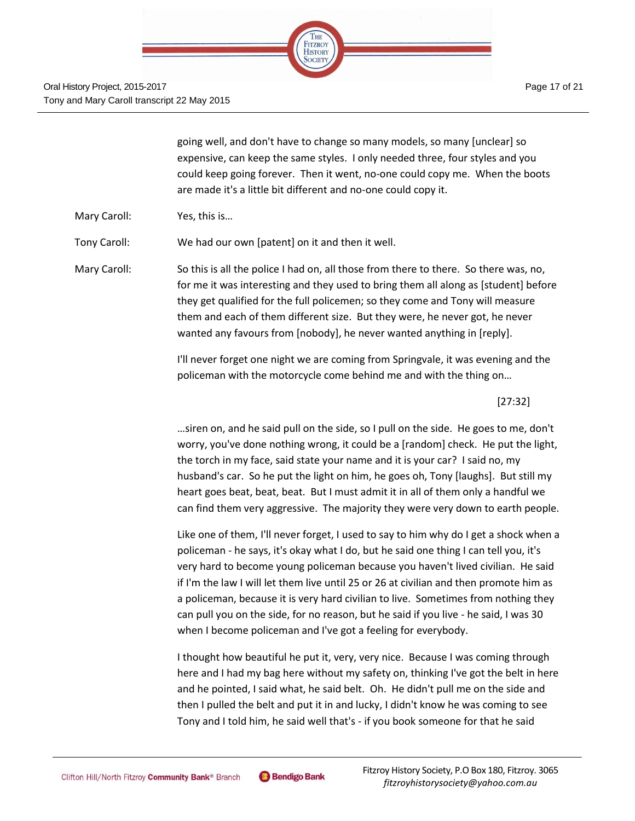

going well, and don't have to change so many models, so many [unclear] so expensive, can keep the same styles. I only needed three, four styles and you could keep going forever. Then it went, no-one could copy me. When the boots are made it's a little bit different and no-one could copy it.

Mary Caroll: Yes, this is…

Tony Caroll: We had our own [patent] on it and then it well.

Mary Caroll: So this is all the police I had on, all those from there to there. So there was, no, for me it was interesting and they used to bring them all along as [student] before they get qualified for the full policemen; so they come and Tony will measure them and each of them different size. But they were, he never got, he never wanted any favours from [nobody], he never wanted anything in [reply].

> I'll never forget one night we are coming from Springvale, it was evening and the policeman with the motorcycle come behind me and with the thing on…

> > [27:32]

…siren on, and he said pull on the side, so I pull on the side. He goes to me, don't worry, you've done nothing wrong, it could be a [random] check. He put the light, the torch in my face, said state your name and it is your car? I said no, my husband's car. So he put the light on him, he goes oh, Tony [laughs]. But still my heart goes beat, beat, beat. But I must admit it in all of them only a handful we can find them very aggressive. The majority they were very down to earth people.

Like one of them, I'll never forget, I used to say to him why do I get a shock when a policeman - he says, it's okay what I do, but he said one thing I can tell you, it's very hard to become young policeman because you haven't lived civilian. He said if I'm the law I will let them live until 25 or 26 at civilian and then promote him as a policeman, because it is very hard civilian to live. Sometimes from nothing they can pull you on the side, for no reason, but he said if you live - he said, I was 30 when I become policeman and I've got a feeling for everybody.

I thought how beautiful he put it, very, very nice. Because I was coming through here and I had my bag here without my safety on, thinking I've got the belt in here and he pointed, I said what, he said belt. Oh. He didn't pull me on the side and then I pulled the belt and put it in and lucky, I didn't know he was coming to see Tony and I told him, he said well that's - if you book someone for that he said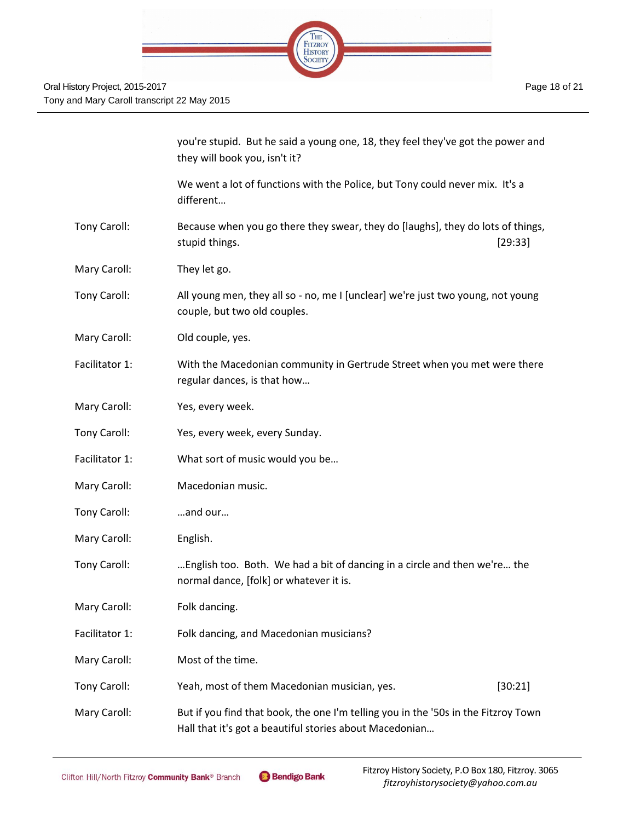

|                | you're stupid. But he said a young one, 18, they feel they've got the power and<br>they will book you, isn't it?                              |  |
|----------------|-----------------------------------------------------------------------------------------------------------------------------------------------|--|
|                | We went a lot of functions with the Police, but Tony could never mix. It's a<br>different                                                     |  |
| Tony Caroll:   | Because when you go there they swear, they do [laughs], they do lots of things,<br>stupid things.<br>[29:33]                                  |  |
| Mary Caroll:   | They let go.                                                                                                                                  |  |
| Tony Caroll:   | All young men, they all so - no, me I [unclear] we're just two young, not young<br>couple, but two old couples.                               |  |
| Mary Caroll:   | Old couple, yes.                                                                                                                              |  |
| Facilitator 1: | With the Macedonian community in Gertrude Street when you met were there<br>regular dances, is that how                                       |  |
| Mary Caroll:   | Yes, every week.                                                                                                                              |  |
| Tony Caroll:   | Yes, every week, every Sunday.                                                                                                                |  |
| Facilitator 1: | What sort of music would you be                                                                                                               |  |
| Mary Caroll:   | Macedonian music.                                                                                                                             |  |
| Tony Caroll:   | and our                                                                                                                                       |  |
| Mary Caroll:   | English.                                                                                                                                      |  |
| Tony Caroll:   | English too. Both. We had a bit of dancing in a circle and then we're the<br>normal dance, [folk] or whatever it is.                          |  |
| Mary Caroll:   | Folk dancing.                                                                                                                                 |  |
| Facilitator 1: | Folk dancing, and Macedonian musicians?                                                                                                       |  |
| Mary Caroll:   | Most of the time.                                                                                                                             |  |
| Tony Caroll:   | Yeah, most of them Macedonian musician, yes.<br>[30:21]                                                                                       |  |
| Mary Caroll:   | But if you find that book, the one I'm telling you in the '50s in the Fitzroy Town<br>Hall that it's got a beautiful stories about Macedonian |  |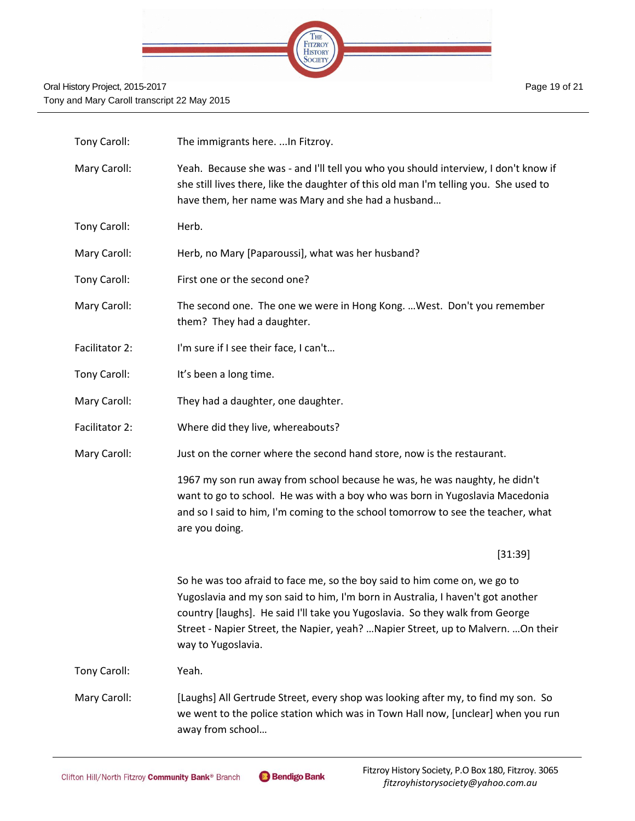

| Tony Caroll:   | The immigrants here.  In Fitzroy.                                                                                                                                                                                                                                                                                                                        |
|----------------|----------------------------------------------------------------------------------------------------------------------------------------------------------------------------------------------------------------------------------------------------------------------------------------------------------------------------------------------------------|
| Mary Caroll:   | Yeah. Because she was - and I'll tell you who you should interview, I don't know if<br>she still lives there, like the daughter of this old man I'm telling you. She used to<br>have them, her name was Mary and she had a husband                                                                                                                       |
| Tony Caroll:   | Herb.                                                                                                                                                                                                                                                                                                                                                    |
| Mary Caroll:   | Herb, no Mary [Paparoussi], what was her husband?                                                                                                                                                                                                                                                                                                        |
| Tony Caroll:   | First one or the second one?                                                                                                                                                                                                                                                                                                                             |
| Mary Caroll:   | The second one. The one we were in Hong Kong.  West. Don't you remember<br>them? They had a daughter.                                                                                                                                                                                                                                                    |
| Facilitator 2: | I'm sure if I see their face, I can't                                                                                                                                                                                                                                                                                                                    |
| Tony Caroll:   | It's been a long time.                                                                                                                                                                                                                                                                                                                                   |
| Mary Caroll:   | They had a daughter, one daughter.                                                                                                                                                                                                                                                                                                                       |
| Facilitator 2: | Where did they live, whereabouts?                                                                                                                                                                                                                                                                                                                        |
| Mary Caroll:   | Just on the corner where the second hand store, now is the restaurant.                                                                                                                                                                                                                                                                                   |
|                | 1967 my son run away from school because he was, he was naughty, he didn't<br>want to go to school. He was with a boy who was born in Yugoslavia Macedonia<br>and so I said to him, I'm coming to the school tomorrow to see the teacher, what<br>are you doing.                                                                                         |
|                | [31:39]                                                                                                                                                                                                                                                                                                                                                  |
|                | So he was too afraid to face me, so the boy said to him come on, we go to<br>Yugoslavia and my son said to him, I'm born in Australia, I haven't got another<br>country [laughs]. He said I'll take you Yugoslavia. So they walk from George<br>Street - Napier Street, the Napier, yeah?  Napier Street, up to Malvern.  On their<br>way to Yugoslavia. |
| Tony Caroll:   | Yeah.                                                                                                                                                                                                                                                                                                                                                    |
| Mary Caroll:   | [Laughs] All Gertrude Street, every shop was looking after my, to find my son. So<br>we went to the police station which was in Town Hall now, [unclear] when you run<br>away from school                                                                                                                                                                |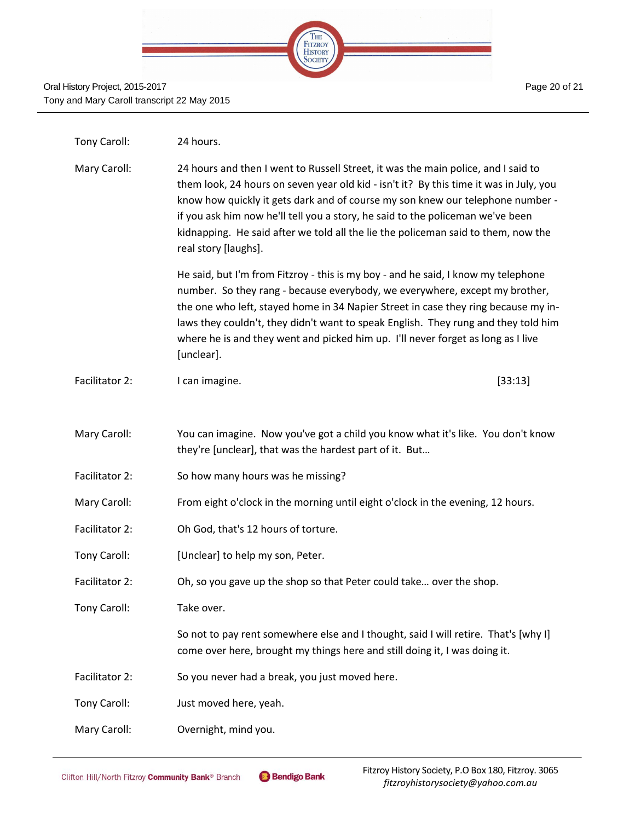

| Tony Caroll:   | 24 hours.                                                                                                                                                                                                                                                                                                                                                                                                                                                    |         |
|----------------|--------------------------------------------------------------------------------------------------------------------------------------------------------------------------------------------------------------------------------------------------------------------------------------------------------------------------------------------------------------------------------------------------------------------------------------------------------------|---------|
| Mary Caroll:   | 24 hours and then I went to Russell Street, it was the main police, and I said to<br>them look, 24 hours on seven year old kid - isn't it? By this time it was in July, you<br>know how quickly it gets dark and of course my son knew our telephone number -<br>if you ask him now he'll tell you a story, he said to the policeman we've been<br>kidnapping. He said after we told all the lie the policeman said to them, now the<br>real story [laughs]. |         |
|                | He said, but I'm from Fitzroy - this is my boy - and he said, I know my telephone<br>number. So they rang - because everybody, we everywhere, except my brother,<br>the one who left, stayed home in 34 Napier Street in case they ring because my in-<br>laws they couldn't, they didn't want to speak English. They rung and they told him<br>where he is and they went and picked him up. I'll never forget as long as I live<br>[unclear].               |         |
| Facilitator 2: | I can imagine.                                                                                                                                                                                                                                                                                                                                                                                                                                               | [33:13] |
|                |                                                                                                                                                                                                                                                                                                                                                                                                                                                              |         |
| Mary Caroll:   | You can imagine. Now you've got a child you know what it's like. You don't know<br>they're [unclear], that was the hardest part of it. But                                                                                                                                                                                                                                                                                                                   |         |
| Facilitator 2: | So how many hours was he missing?                                                                                                                                                                                                                                                                                                                                                                                                                            |         |
| Mary Caroll:   | From eight o'clock in the morning until eight o'clock in the evening, 12 hours.                                                                                                                                                                                                                                                                                                                                                                              |         |
| Facilitator 2: | Oh God, that's 12 hours of torture.                                                                                                                                                                                                                                                                                                                                                                                                                          |         |
| Tony Caroll:   | [Unclear] to help my son, Peter.                                                                                                                                                                                                                                                                                                                                                                                                                             |         |
| Facilitator 2: | Oh, so you gave up the shop so that Peter could take over the shop.                                                                                                                                                                                                                                                                                                                                                                                          |         |
| Tony Caroll:   | Take over.                                                                                                                                                                                                                                                                                                                                                                                                                                                   |         |
|                | So not to pay rent somewhere else and I thought, said I will retire. That's [why I]<br>come over here, brought my things here and still doing it, I was doing it.                                                                                                                                                                                                                                                                                            |         |
| Facilitator 2: | So you never had a break, you just moved here.                                                                                                                                                                                                                                                                                                                                                                                                               |         |
| Tony Caroll:   | Just moved here, yeah.                                                                                                                                                                                                                                                                                                                                                                                                                                       |         |
| Mary Caroll:   | Overnight, mind you.                                                                                                                                                                                                                                                                                                                                                                                                                                         |         |